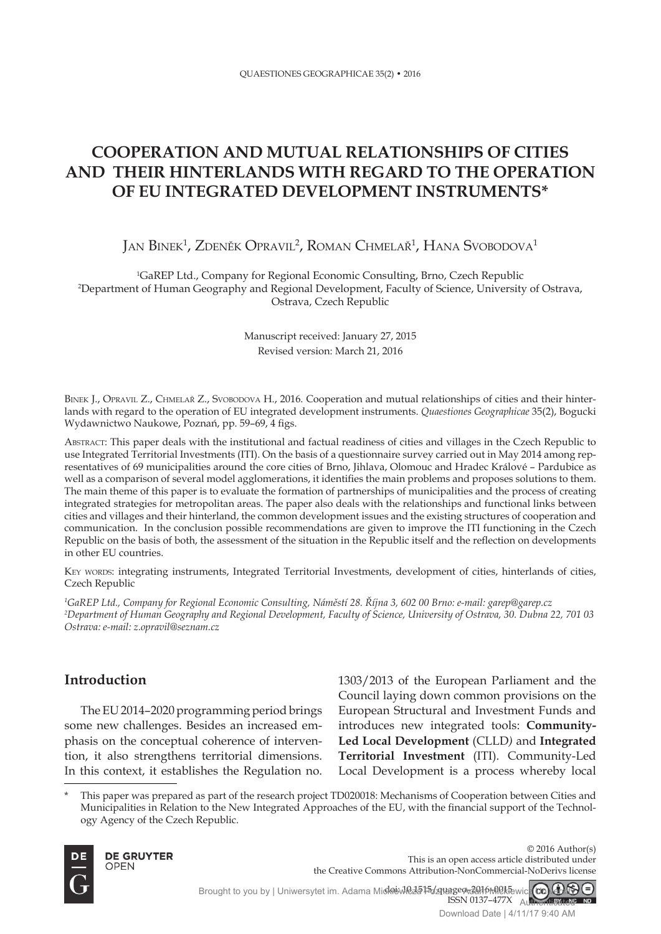# **COOPERATION AND MUTUAL RELATIONSHIPS OF CITIES AND THEIR HINTERLANDS WITH REGARD TO THE OPERATION OF EU INTEGRATED DEVELOPMENT INSTRUMENTS\***

# Jan Binek<sup>1</sup>, Zdeněk Opravil<sup>2</sup>, Roman Chmelař<sup>1</sup>, Hana Svobodova<sup>1</sup>

<sup>1</sup>GaREP Ltd., Company for Regional Economic Consulting, Brno, Czech Republic GaREP Ltd., Company for Regional Economic Consulting, Brno, Czech Republic 2 Department of Human Geography and Regional Development, Faculty of Science, University of Ostrava, Ostrava, Czech Republic

> Manuscript received: January 27, 2015 Revised version: March 21, 2016

BINEK J., OPRAVIL Z., CHMELAŘ Z., SVOBODOVA H., 2016. Cooperation and mutual relationships of cities and their hinterlands with regard to the operation of EU integrated development instruments. *Quaestiones Geographicae* 35(2), Bogucki Wydawnictwo Naukowe, Poznań, pp. 59–69, 4 figs.

abStraCt: This paper deals with the institutional and factual readiness of cities and villages in the Czech Republic to use Integrated Territorial Investments (ITI). On the basis of a questionnaire survey carried out in May 2014 among representatives of 69 municipalities around the core cities of Brno, Jihlava, Olomouc and Hradec Králové – Pardubice as well as a comparison of several model agglomerations, it identifies the main problems and proposes solutions to them. The main theme of this paper is to evaluate the formation of partnerships of municipalities and the process of creating integrated strategies for metropolitan areas. The paper also deals with the relationships and functional links between cities and villages and their hinterland, the common development issues and the existing structures of cooperation and communication. In the conclusion possible recommendations are given to improve the ITI functioning in the Czech Republic on the basis of both, the assessment of the situation in the Republic itself and the reflection on developments in other EU countries.

KEY WORDS: integrating instruments, Integrated Territorial Investments, development of cities, hinterlands of cities, Czech Republic

*1 GaREP Ltd., Company for Regional Economic Consulting, Náměstí 28. Října 3, 602 00 Brno: e-mail: garep@garep.cz 2 Department of Human Geography and Regional Development, Faculty of Science, University of Ostrava, 30. Dubna 22, 701 03 Ostrava: e-mail: z.opravil@seznam.cz*

# **Introduction**

The EU 2014–2020 programming period brings some new challenges. Besides an increased emphasis on the conceptual coherence of intervention, it also strengthens territorial dimensions. In this context, it establishes the Regulation no.

1303/2013 of the European Parliament and the Council laying down common provisions on the European Structural and Investment Funds and introduces new integrated tools: **Community-Led Local Development** (CLLD*)* and **Integrated Territorial Investment** (ITI). Community-Led Local Development is a process whereby local

This paper was prepared as part of the research project TD020018: Mechanisms of Cooperation between Cities and Municipalities in Relation to the New Integrated Approaches of the EU, with the financial support of the Technology Agency of the Czech Republic.



© 2016 Author(s) This is an open access article distributed under the Creative Commons Attribution-NonCommercial-NoDerivs license

doi: NCL515/enageo<del>-2</del>016–0015 ISSN 0137–477X Brought to you by | Uniwersytet im. Adama Micklewicza Poznanego delkewicz **CC) GAN** Authenticate

Download Date | 4/11/17 9:40 AM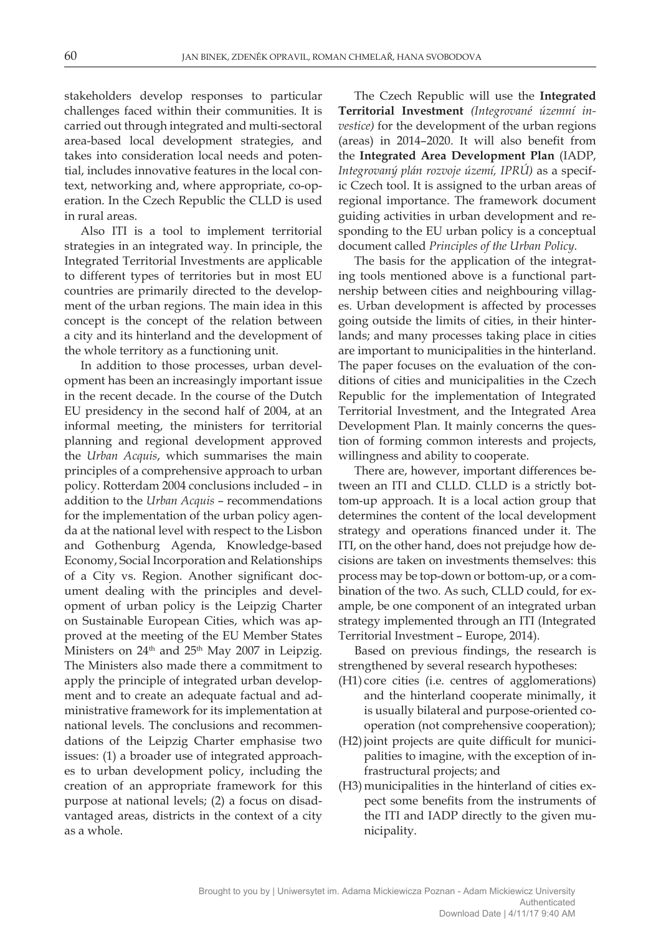stakeholders develop responses to particular challenges faced within their communities. It is carried out through integrated and multi-sectoral area-based local development strategies, and takes into consideration local needs and potential, includes innovative features in the local context, networking and, where appropriate, co-operation. In the Czech Republic the CLLD is used in rural areas.

Also ITI is a tool to implement territorial strategies in an integrated way. In principle, the Integrated Territorial Investments are applicable to different types of territories but in most EU countries are primarily directed to the development of the urban regions. The main idea in this concept is the concept of the relation between a city and its hinterland and the development of the whole territory as a functioning unit.

In addition to those processes, urban development has been an increasingly important issue in the recent decade. In the course of the Dutch EU presidency in the second half of 2004, at an informal meeting, the ministers for territorial planning and regional development approved the *Urban Acquis*, which summarises the main principles of a comprehensive approach to urban policy. Rotterdam 2004 conclusions included – in addition to the *Urban Acquis* – recommendations for the implementation of the urban policy agenda at the national level with respect to the Lisbon and Gothenburg Agenda, Knowledge-based Economy, Social Incorporation and Relationships of a City vs. Region. Another significant document dealing with the principles and development of urban policy is the Leipzig Charter on Sustainable European Cities, which was approved at the meeting of the EU Member States Ministers on 24<sup>th</sup> and 25<sup>th</sup> May 2007 in Leipzig. The Ministers also made there a commitment to apply the principle of integrated urban development and to create an adequate factual and administrative framework for its implementation at national levels. The conclusions and recommendations of the Leipzig Charter emphasise two issues: (1) a broader use of integrated approaches to urban development policy, including the creation of an appropriate framework for this purpose at national levels; (2) a focus on disadvantaged areas, districts in the context of a city as a whole.

The Czech Republic will use the **Integrated Territorial Investment** *(Integrované územní investice)* for the development of the urban regions (areas) in 2014–2020. It will also benefit from the **Integrated Area Development Plan** (IADP, *Integrovaný plán rozvoje území, IPRÚ)* as a specific Czech tool. It is assigned to the urban areas of regional importance. The framework document guiding activities in urban development and responding to the EU urban policy is a conceptual document called *Principles of the Urban Policy*.

The basis for the application of the integrating tools mentioned above is a functional partnership between cities and neighbouring villages. Urban development is affected by processes going outside the limits of cities, in their hinterlands; and many processes taking place in cities are important to municipalities in the hinterland. The paper focuses on the evaluation of the conditions of cities and municipalities in the Czech Republic for the implementation of Integrated Territorial Investment, and the Integrated Area Development Plan. It mainly concerns the question of forming common interests and projects, willingness and ability to cooperate.

There are, however, important differences between an ITI and CLLD. CLLD is a strictly bottom-up approach. It is a local action group that determines the content of the local development strategy and operations financed under it. The ITI, on the other hand, does not prejudge how decisions are taken on investments themselves: this process may be top-down or bottom-up, or a combination of the two. As such, CLLD could, for example, be one component of an integrated urban strategy implemented through an ITI (Integrated Territorial Investment – Europe, 2014).

Based on previous findings, the research is strengthened by several research hypotheses:

- (H1) core cities (i.e. centres of agglomerations) and the hinterland cooperate minimally, it is usually bilateral and purpose-oriented cooperation (not comprehensive cooperation);
- (H2) joint projects are quite difficult for municipalities to imagine, with the exception of infrastructural projects; and
- (H3) municipalities in the hinterland of cities expect some benefits from the instruments of the ITI and IADP directly to the given municipality.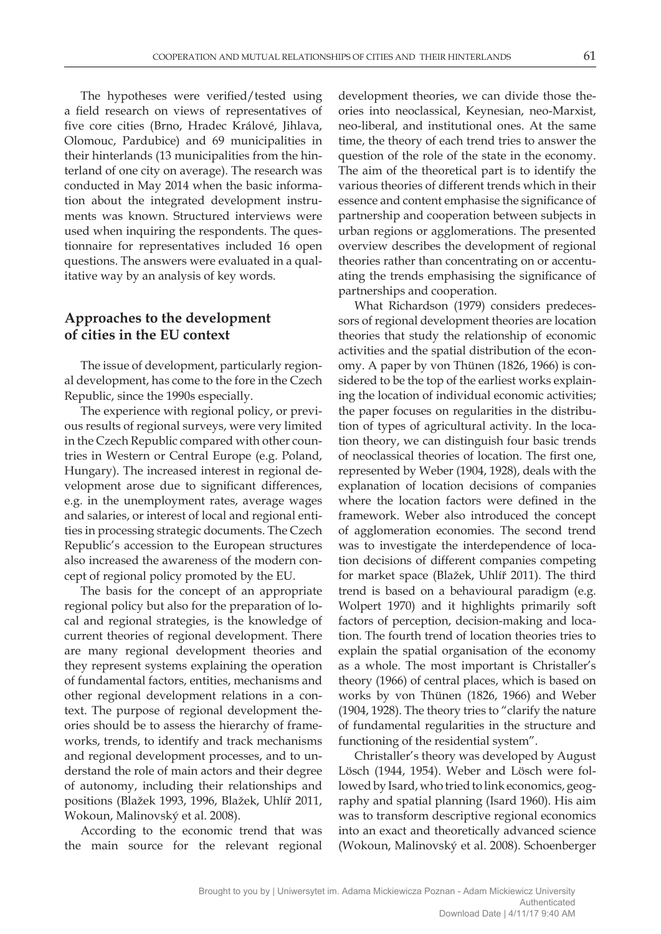The hypotheses were verified/tested using a field research on views of representatives of five core cities (Brno, Hradec Králové, Jihlava, Olomouc, Pardubice) and 69 municipalities in their hinterlands (13 municipalities from the hinterland of one city on average). The research was conducted in May 2014 when the basic information about the integrated development instruments was known. Structured interviews were used when inquiring the respondents. The questionnaire for representatives included 16 open questions. The answers were evaluated in a qualitative way by an analysis of key words.

### **Approaches to the development of cities in the EU context**

The issue of development, particularly regional development, has come to the fore in the Czech Republic, since the 1990s especially.

The experience with regional policy, or previous results of regional surveys, were very limited in the Czech Republic compared with other countries in Western or Central Europe (e.g. Poland, Hungary). The increased interest in regional development arose due to significant differences, e.g. in the unemployment rates, average wages and salaries, or interest of local and regional entities in processing strategic documents. The Czech Republic's accession to the European structures also increased the awareness of the modern concept of regional policy promoted by the EU.

The basis for the concept of an appropriate regional policy but also for the preparation of local and regional strategies, is the knowledge of current theories of regional development. There are many regional development theories and they represent systems explaining the operation of fundamental factors, entities, mechanisms and other regional development relations in a context. The purpose of regional development theories should be to assess the hierarchy of frameworks, trends, to identify and track mechanisms and regional development processes, and to understand the role of main actors and their degree of autonomy, including their relationships and positions (Blažek 1993, 1996, Blažek, Uhlíř 2011, Wokoun, Malinovský et al. 2008).

According to the economic trend that was the main source for the relevant regional

development theories, we can divide those theories into neoclassical, Keynesian, neo-Marxist, neo-liberal, and institutional ones. At the same time, the theory of each trend tries to answer the question of the role of the state in the economy. The aim of the theoretical part is to identify the various theories of different trends which in their essence and content emphasise the significance of partnership and cooperation between subjects in urban regions or agglomerations. The presented overview describes the development of regional theories rather than concentrating on or accentuating the trends emphasising the significance of partnerships and cooperation.

What Richardson (1979) considers predecessors of regional development theories are location theories that study the relationship of economic activities and the spatial distribution of the economy. A paper by von Thünen (1826, 1966) is considered to be the top of the earliest works explaining the location of individual economic activities; the paper focuses on regularities in the distribution of types of agricultural activity. In the location theory, we can distinguish four basic trends of neoclassical theories of location. The first one, represented by Weber (1904, 1928), deals with the explanation of location decisions of companies where the location factors were defined in the framework. Weber also introduced the concept of agglomeration economies. The second trend was to investigate the interdependence of location decisions of different companies competing for market space (Blažek, Uhlíř 2011). The third trend is based on a behavioural paradigm (e.g. Wolpert 1970) and it highlights primarily soft factors of perception, decision-making and location. The fourth trend of location theories tries to explain the spatial organisation of the economy as a whole. The most important is Christaller's theory (1966) of central places, which is based on works by von Thünen (1826, 1966) and Weber (1904, 1928). The theory tries to "clarify the nature of fundamental regularities in the structure and functioning of the residential system".

Christaller's theory was developed by August lösch (1944, 1954). Weber and lösch were followed by Isard, who tried to link economics, geography and spatial planning (Isard 1960). His aim was to transform descriptive regional economics into an exact and theoretically advanced science (Wokoun, Malinovský et al. 2008). Schoenberger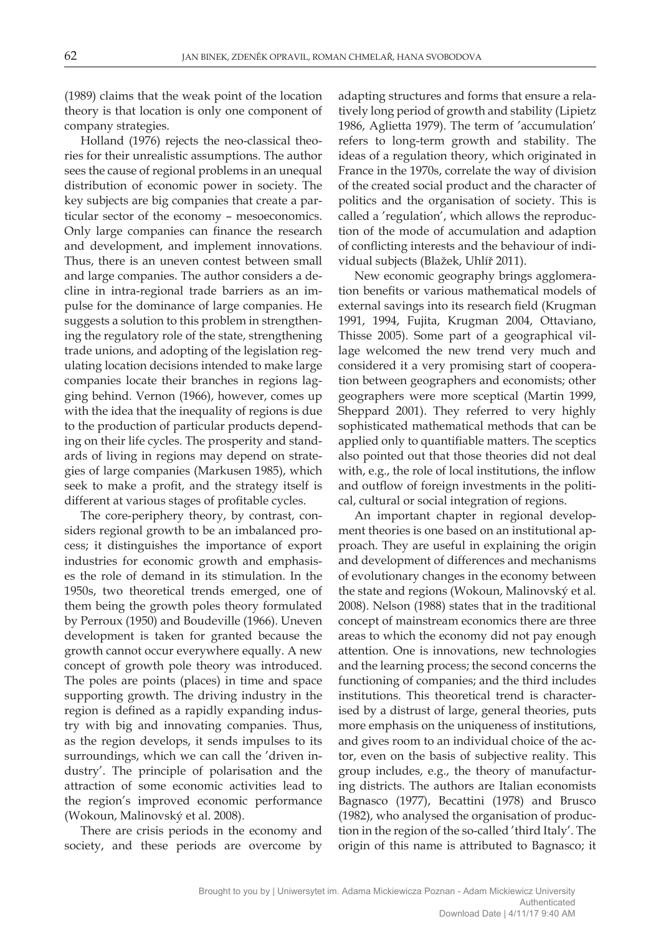(1989) claims that the weak point of the location theory is that location is only one component of company strategies.

Holland (1976) rejects the neo-classical theories for their unrealistic assumptions. The author sees the cause of regional problems in an unequal distribution of economic power in society. The key subjects are big companies that create a particular sector of the economy – mesoeconomics. Only large companies can finance the research and development, and implement innovations. Thus, there is an uneven contest between small and large companies. The author considers a decline in intra-regional trade barriers as an impulse for the dominance of large companies. He suggests a solution to this problem in strengthening the regulatory role of the state, strengthening trade unions, and adopting of the legislation regulating location decisions intended to make large companies locate their branches in regions lagging behind. vernon (1966), however, comes up with the idea that the inequality of regions is due to the production of particular products depending on their life cycles. The prosperity and standards of living in regions may depend on strategies of large companies (Markusen 1985), which seek to make a profit, and the strategy itself is different at various stages of profitable cycles.

The core-periphery theory, by contrast, considers regional growth to be an imbalanced process; it distinguishes the importance of export industries for economic growth and emphasises the role of demand in its stimulation. In the 1950s, two theoretical trends emerged, one of them being the growth poles theory formulated by Perroux (1950) and Boudeville (1966). Uneven development is taken for granted because the growth cannot occur everywhere equally. A new concept of growth pole theory was introduced. The poles are points (places) in time and space supporting growth. The driving industry in the region is defined as a rapidly expanding industry with big and innovating companies. Thus, as the region develops, it sends impulses to its surroundings, which we can call the 'driven industry'. The principle of polarisation and the attraction of some economic activities lead to the region's improved economic performance (Wokoun, Malinovský et al. 2008).

There are crisis periods in the economy and society, and these periods are overcome by

adapting structures and forms that ensure a relatively long period of growth and stability (Lipietz 1986, Aglietta 1979). The term of 'accumulation' refers to long-term growth and stability. The ideas of a regulation theory, which originated in France in the 1970s, correlate the way of division of the created social product and the character of politics and the organisation of society. This is called a 'regulation', which allows the reproduction of the mode of accumulation and adaption of conflicting interests and the behaviour of individual subjects (Blažek, Uhlíř 2011).

New economic geography brings agglomeration benefits or various mathematical models of external savings into its research field (Krugman 1991, 1994, Fujita, Krugman 2004, Ottaviano, Thisse 2005). Some part of a geographical village welcomed the new trend very much and considered it a very promising start of cooperation between geographers and economists; other geographers were more sceptical (Martin 1999, Sheppard 2001). They referred to very highly sophisticated mathematical methods that can be applied only to quantifiable matters. The sceptics also pointed out that those theories did not deal with, e.g., the role of local institutions, the inflow and outflow of foreign investments in the political, cultural or social integration of regions.

An important chapter in regional development theories is one based on an institutional approach. They are useful in explaining the origin and development of differences and mechanisms of evolutionary changes in the economy between the state and regions (Wokoun, Malinovský et al. 2008). Nelson (1988) states that in the traditional concept of mainstream economics there are three areas to which the economy did not pay enough attention. One is innovations, new technologies and the learning process; the second concerns the functioning of companies; and the third includes institutions. This theoretical trend is characterised by a distrust of large, general theories, puts more emphasis on the uniqueness of institutions, and gives room to an individual choice of the actor, even on the basis of subjective reality. This group includes, e.g., the theory of manufacturing districts. The authors are Italian economists Bagnasco (1977), Becattini (1978) and Brusco (1982), who analysed the organisation of production in the region of the so-called 'third Italy'. The origin of this name is attributed to Bagnasco; it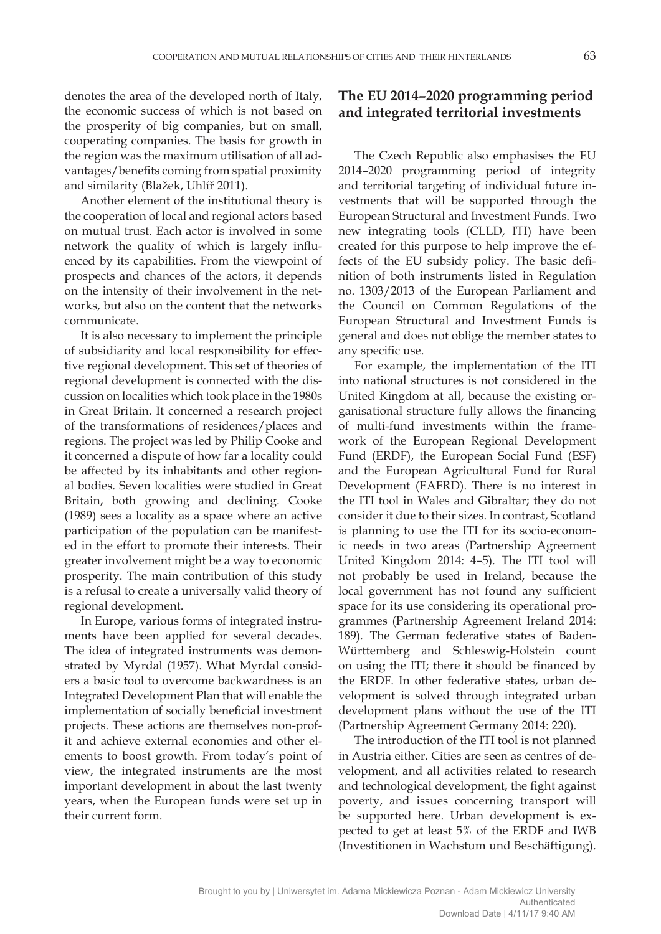denotes the area of the developed north of Italy, the economic success of which is not based on the prosperity of big companies, but on small, cooperating companies. The basis for growth in the region was the maximum utilisation of all advantages/benefits coming from spatial proximity and similarity (Blažek, Uhlíř 2011).

Another element of the institutional theory is the cooperation of local and regional actors based on mutual trust. Each actor is involved in some network the quality of which is largely influenced by its capabilities. From the viewpoint of prospects and chances of the actors, it depends on the intensity of their involvement in the networks, but also on the content that the networks communicate.

It is also necessary to implement the principle of subsidiarity and local responsibility for effective regional development. This set of theories of regional development is connected with the discussion on localities which took place in the 1980s in Great Britain. It concerned a research project of the transformations of residences/places and regions. The project was led by Philip Cooke and it concerned a dispute of how far a locality could be affected by its inhabitants and other regional bodies. Seven localities were studied in Great Britain, both growing and declining. Cooke (1989) sees a locality as a space where an active participation of the population can be manifested in the effort to promote their interests. Their greater involvement might be a way to economic prosperity. The main contribution of this study is a refusal to create a universally valid theory of regional development.

In Europe, various forms of integrated instruments have been applied for several decades. The idea of integrated instruments was demonstrated by Myrdal (1957). What Myrdal considers a basic tool to overcome backwardness is an Integrated Development Plan that will enable the implementation of socially beneficial investment projects. These actions are themselves non-profit and achieve external economies and other elements to boost growth. From today's point of view, the integrated instruments are the most important development in about the last twenty years, when the European funds were set up in their current form.

## **The EU 2014–2020 programming period and integrated territorial investments**

The Czech Republic also emphasises the EU 2014–2020 programming period of integrity and territorial targeting of individual future investments that will be supported through the European Structural and Investment Funds. Two new integrating tools (CLLD, ITI) have been created for this purpose to help improve the effects of the EU subsidy policy. The basic definition of both instruments listed in Regulation no. 1303/2013 of the European Parliament and the Council on Common Regulations of the European Structural and Investment Funds is general and does not oblige the member states to any specific use.

For example, the implementation of the ITI into national structures is not considered in the United Kingdom at all, because the existing organisational structure fully allows the financing of multi-fund investments within the framework of the European Regional Development Fund (ERDF), the European Social Fund (ESF) and the European Agricultural Fund for Rural Development (EAFRD). There is no interest in the ITI tool in Wales and Gibraltar; they do not consider it due to their sizes. In contrast, Scotland is planning to use the ITI for its socio-economic needs in two areas (Partnership Agreement United Kingdom 2014: 4–5). The ITI tool will not probably be used in Ireland, because the local government has not found any sufficient space for its use considering its operational programmes (Partnership Agreement Ireland 2014: 189). The German federative states of Baden-Württemberg and Schleswig-Holstein count on using the ITI; there it should be financed by the ERDF. In other federative states, urban development is solved through integrated urban development plans without the use of the ITI (Partnership Agreement Germany 2014: 220).

The introduction of the ITI tool is not planned in Austria either. Cities are seen as centres of development, and all activities related to research and technological development, the fight against poverty, and issues concerning transport will be supported here. Urban development is expected to get at least 5% of the ERDF and IWB (Investitionen in Wachstum und Beschäftigung).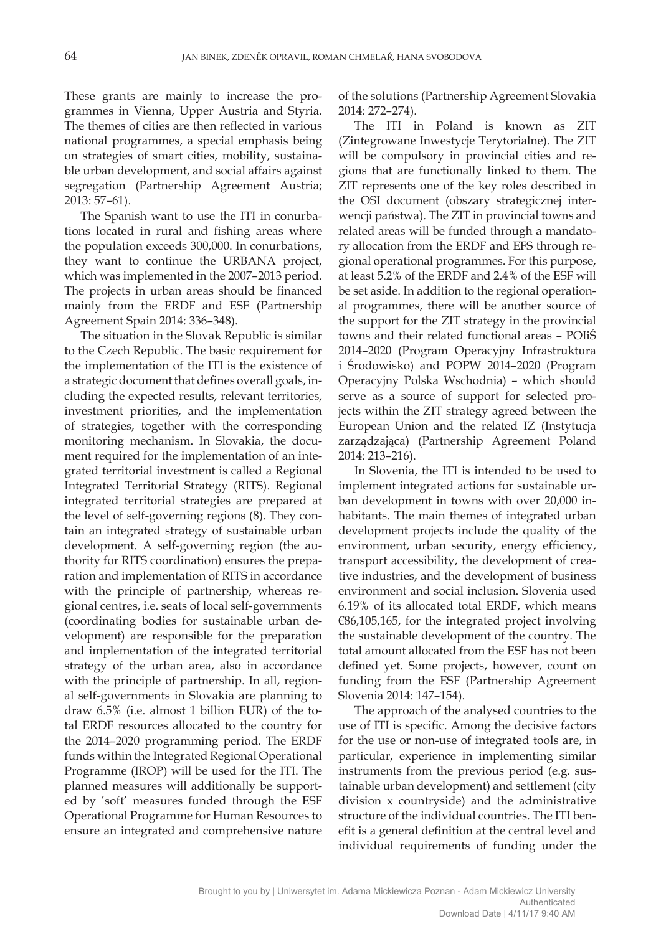These grants are mainly to increase the programmes in vienna, Upper Austria and Styria. The themes of cities are then reflected in various national programmes, a special emphasis being on strategies of smart cities, mobility, sustainable urban development, and social affairs against segregation (Partnership Agreement Austria; 2013: 57–61).

The Spanish want to use the ITI in conurbations located in rural and fishing areas where the population exceeds 300,000. In conurbations, they want to continue the URBANA project, which was implemented in the 2007–2013 period. The projects in urban areas should be financed mainly from the ERDF and ESF (Partnership Agreement Spain 2014: 336–348).

The situation in the Slovak Republic is similar to the Czech Republic. The basic requirement for the implementation of the ITI is the existence of a strategic document that defines overall goals, including the expected results, relevant territories, investment priorities, and the implementation of strategies, together with the corresponding monitoring mechanism. In Slovakia, the document required for the implementation of an integrated territorial investment is called a Regional Integrated Territorial Strategy (RITS). Regional integrated territorial strategies are prepared at the level of self-governing regions (8). They contain an integrated strategy of sustainable urban development. A self-governing region (the authority for RITS coordination) ensures the preparation and implementation of RITS in accordance with the principle of partnership, whereas regional centres, i.e. seats of local self-governments (coordinating bodies for sustainable urban development) are responsible for the preparation and implementation of the integrated territorial strategy of the urban area, also in accordance with the principle of partnership. In all, regional self-governments in Slovakia are planning to draw 6.5% (i.e. almost 1 billion EUR) of the total ERDF resources allocated to the country for the 2014–2020 programming period. The ERDF funds within the Integrated Regional Operational Programme (IROP) will be used for the ITI. The planned measures will additionally be supported by 'soft' measures funded through the ESF Operational Programme for Human Resources to ensure an integrated and comprehensive nature

of the solutions (Partnership Agreement Slovakia 2014: 272–274).

The ITI in Poland is known as ZIT (Zintegrowane Inwestycje Terytorialne). The ZIT will be compulsory in provincial cities and regions that are functionally linked to them. The ZIT represents one of the key roles described in the OSI document (obszary strategicznej interwencji państwa). The ZIT in provincial towns and related areas will be funded through a mandatory allocation from the ERDF and EFS through regional operational programmes. For this purpose, at least 5.2% of the ERDF and 2.4% of the ESF will be set aside. In addition to the regional operational programmes, there will be another source of the support for the ZIT strategy in the provincial towns and their related functional areas – POIiŚ 2014–2020 (Program Operacyjny Infrastruktura i Środowisko) and POPW 2014–2020 (Program Operacyjny Polska Wschodnia) – which should serve as a source of support for selected projects within the ZIT strategy agreed between the European Union and the related IZ (Instytucja zarządzająca) (Partnership Agreement Poland 2014: 213–216).

In Slovenia, the ITI is intended to be used to implement integrated actions for sustainable urban development in towns with over 20,000 inhabitants. The main themes of integrated urban development projects include the quality of the environment, urban security, energy efficiency, transport accessibility, the development of creative industries, and the development of business environment and social inclusion. Slovenia used  $6.19\%$  of its allocated total ERDF, which means  $€86,105,165$ , for the integrated project involving the sustainable development of the country. The total amount allocated from the ESF has not been defined yet. Some projects, however, count on funding from the ESF (Partnership Agreement Slovenia 2014: 147–154).

The approach of the analysed countries to the use of ITI is specific. Among the decisive factors for the use or non-use of integrated tools are, in particular, experience in implementing similar instruments from the previous period (e.g. sustainable urban development) and settlement (city division x countryside) and the administrative structure of the individual countries. The ITI benefit is a general definition at the central level and individual requirements of funding under the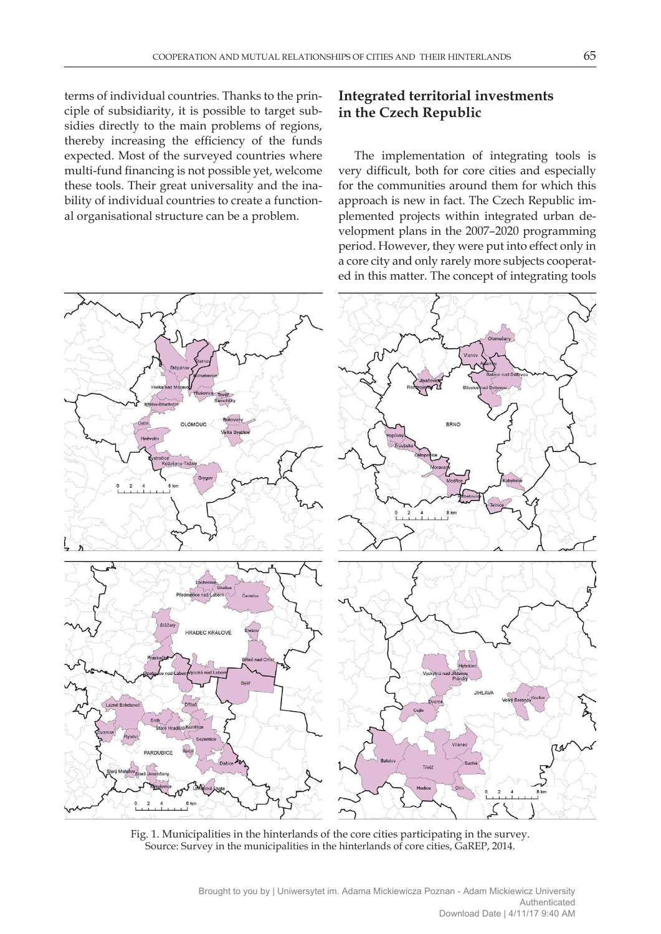terms of individual countries. Thanks to the principle of subsidiarity, it is possible to target subsidies directly to the main problems of regions, thereby increasing the efficiency of the funds expected. Most of the surveyed countries where multi-fund financing is not possible yet, welcome these tools. Their great universality and the inability of individual countries to create a functional organisational structure can be a problem.

## **Integrated territorial investments in the Czech Republic**

The implementation of integrating tools is very difficult, both for core cities and especially for the communities around them for which this approach is new in fact. The Czech Republic implemented projects within integrated urban development plans in the 2007–2020 programming period. However, they were put into effect only in a core city and only rarely more subjects cooperated in this matter. The concept of integrating tools



Fig. 1. Municipalities in the hinterlands of the core cities participating in the survey. Source: Survey in the municipalities in the hinterlands of core cities, GaREP, 2014.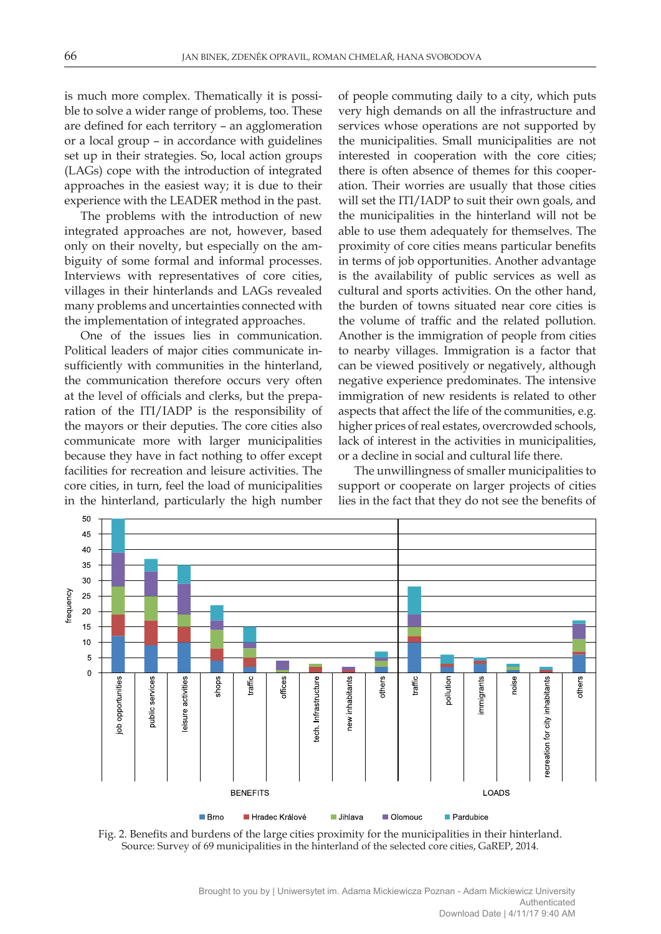is much more complex. Thematically it is possible to solve a wider range of problems, too. These are defined for each territory – an agglomeration or a local group – in accordance with guidelines set up in their strategies. So, local action groups (LAGs) cope with the introduction of integrated approaches in the easiest way; it is due to their experience with the LEADER method in the past.

The problems with the introduction of new integrated approaches are not, however, based only on their novelty, but especially on the ambiguity of some formal and informal processes. Interviews with representatives of core cities, villages in their hinterlands and LAGs revealed many problems and uncertainties connected with the implementation of integrated approaches.

One of the issues lies in communication. Political leaders of major cities communicate insufficiently with communities in the hinterland, the communication therefore occurs very often at the level of officials and clerks, but the preparation of the ITI/IADP is the responsibility of the mayors or their deputies. The core cities also communicate more with larger municipalities because they have in fact nothing to offer except facilities for recreation and leisure activities. The core cities, in turn, feel the load of municipalities in the hinterland, particularly the high number

of people commuting daily to a city, which puts very high demands on all the infrastructure and services whose operations are not supported by the municipalities. Small municipalities are not interested in cooperation with the core cities; there is often absence of themes for this cooperation. Their worries are usually that those cities will set the ITI/IADP to suit their own goals, and the municipalities in the hinterland will not be able to use them adequately for themselves. The proximity of core cities means particular benefits in terms of job opportunities. Another advantage is the availability of public services as well as cultural and sports activities. On the other hand, the burden of towns situated near core cities is the volume of traffic and the related pollution. Another is the immigration of people from cities to nearby villages. Immigration is a factor that can be viewed positively or negatively, although negative experience predominates. The intensive immigration of new residents is related to other aspects that affect the life of the communities, e.g. higher prices of real estates, overcrowded schools, lack of interest in the activities in municipalities, or a decline in social and cultural life there.

The unwillingness of smaller municipalities to support or cooperate on larger projects of cities lies in the fact that they do not see the benefits of



Fig. 2. Benefits and burdens of the large cities proximity for the municipalities in their hinterland. Source: Survey of 69 municipalities in the hinterland of the selected core cities, GaREP, 2014.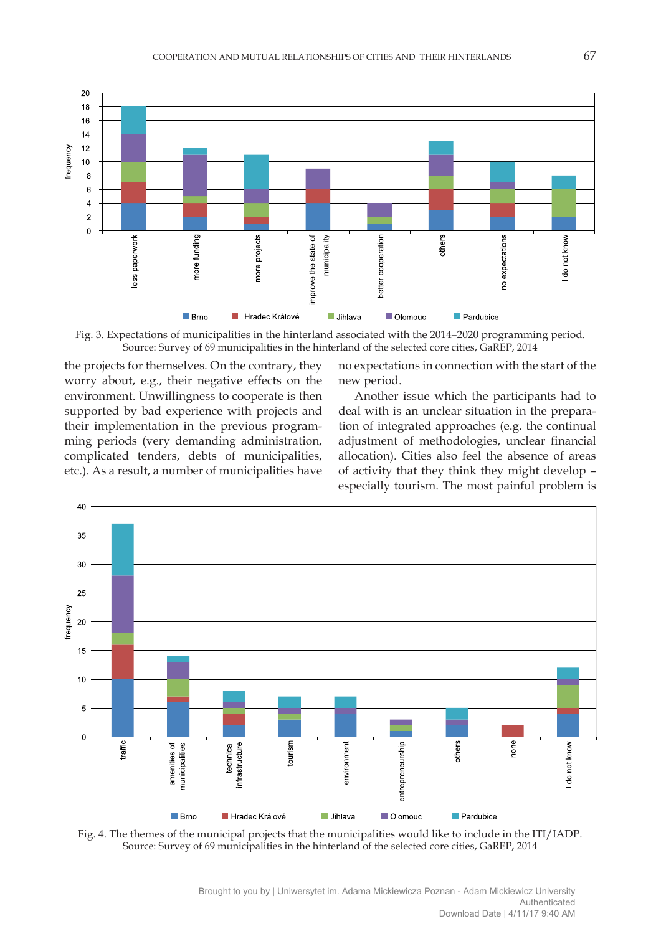![](_page_8_Figure_1.jpeg)

Fig. 3. Expectations of municipalities in the hinterland associated with the 2014–2020 programming period. Source: Survey of 69 municipalities in the hinterland of the selected core cities, GaREP, 2014

the projects for themselves. On the contrary, they worry about, e.g., their negative effects on the environment. Unwillingness to cooperate is then supported by bad experience with projects and their implementation in the previous programming periods (very demanding administration, complicated tenders, debts of municipalities, etc.). As a result, a number of municipalities have no expectations in connection with the start of the new period.

Another issue which the participants had to deal with is an unclear situation in the preparation of integrated approaches (e.g. the continual adjustment of methodologies, unclear financial allocation). Cities also feel the absence of areas of activity that they think they might develop – especially tourism. The most painful problem is

![](_page_8_Figure_6.jpeg)

Fig. 4. The themes of the municipal projects that the municipalities would like to include in the ITI/IAdP. Source: Survey of 69 municipalities in the hinterland of the selected core cities, GaREP, 2014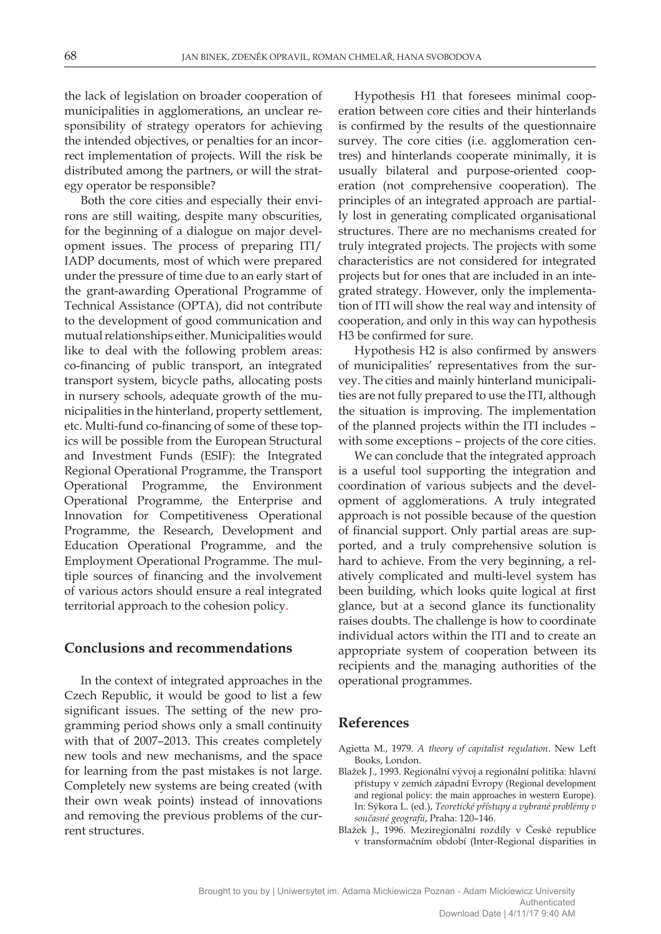the lack of legislation on broader cooperation of municipalities in agglomerations, an unclear responsibility of strategy operators for achieving the intended objectives, or penalties for an incorrect implementation of projects. Will the risk be distributed among the partners, or will the strategy operator be responsible?

Both the core cities and especially their environs are still waiting, despite many obscurities, for the beginning of a dialogue on major development issues. The process of preparing ITI/ IADP documents, most of which were prepared under the pressure of time due to an early start of the grant-awarding Operational Programme of Technical Assistance (OPTA), did not contribute to the development of good communication and mutual relationships either. Municipalities would like to deal with the following problem areas: co-financing of public transport, an integrated transport system, bicycle paths, allocating posts in nursery schools, adequate growth of the municipalities in the hinterland, property settlement, etc. Multi-fund co-financing of some of these topics will be possible from the European Structural and Investment Funds (ESIF): the Integrated Regional Operational Programme, the Transport Operational Programme, the Environment Operational Programme, the Enterprise and Innovation for Competitiveness Operational Programme, the Research, Development and Education Operational Programme, and the Employment Operational Programme. The multiple sources of financing and the involvement of various actors should ensure a real integrated territorial approach to the cohesion policy.

#### **Conclusions and recommendations**

In the context of integrated approaches in the Czech Republic, it would be good to list a few significant issues. The setting of the new programming period shows only a small continuity with that of 2007–2013. This creates completely new tools and new mechanisms, and the space for learning from the past mistakes is not large. Completely new systems are being created (with their own weak points) instead of innovations and removing the previous problems of the current structures.

Hypothesis H1 that foresees minimal cooperation between core cities and their hinterlands is confirmed by the results of the questionnaire survey. The core cities (i.e. agglomeration centres) and hinterlands cooperate minimally, it is usually bilateral and purpose-oriented cooperation (not comprehensive cooperation). The principles of an integrated approach are partially lost in generating complicated organisational structures. There are no mechanisms created for truly integrated projects. The projects with some characteristics are not considered for integrated projects but for ones that are included in an integrated strategy. However, only the implementation of ITI will show the real way and intensity of cooperation, and only in this way can hypothesis H3 be confirmed for sure.

Hypothesis H2 is also confirmed by answers of municipalities' representatives from the survey. The cities and mainly hinterland municipalities are not fully prepared to use the ITI, although the situation is improving. The implementation of the planned projects within the ITI includes – with some exceptions – projects of the core cities.

We can conclude that the integrated approach is a useful tool supporting the integration and coordination of various subjects and the development of agglomerations. A truly integrated approach is not possible because of the question of financial support. Only partial areas are supported, and a truly comprehensive solution is hard to achieve. From the very beginning, a relatively complicated and multi-level system has been building, which looks quite logical at first glance, but at a second glance its functionality raises doubts. The challenge is how to coordinate individual actors within the ITI and to create an appropriate system of cooperation between its recipients and the managing authorities of the operational programmes.

#### **References**

- Agietta M., 1979. *A theory of capitalist regulation*. New Left Books, London.
- Blažek J., 1993. Regionální vývoj a regionální politika: hlavní přístupy v zemích západní Evropy (Regional development and regional policy: the main approaches in western Europe). In: Sýkora L. (ed.), *Teoretické přístupy a vybrané problémy v současné geografii*, Praha: 120–146.
- Blažek J., 1996. Meziregionální rozdíly v České republice v transformačním období (Inter-Regional disparities in